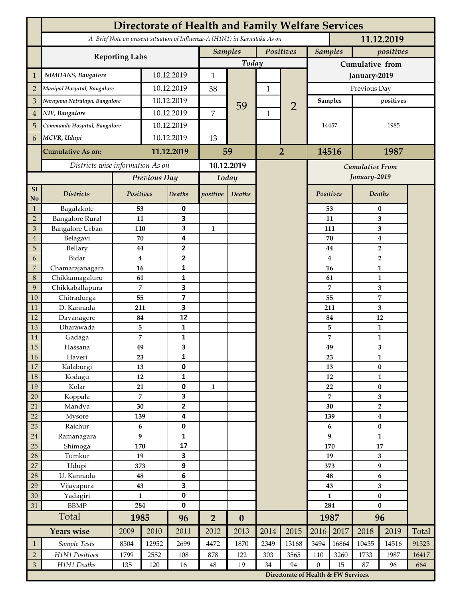|                | <b>Directorate of Health and Family Welfare Services</b>                                 |                |              |                         |                |                  |                |                                        |                      |                             |                               |                                             |       |  |
|----------------|------------------------------------------------------------------------------------------|----------------|--------------|-------------------------|----------------|------------------|----------------|----------------------------------------|----------------------|-----------------------------|-------------------------------|---------------------------------------------|-------|--|
|                | A Brief Note on present situation of Influenza-A (H1N1) in Karnataka As on<br>11.12.2019 |                |              |                         |                |                  |                |                                        |                      |                             |                               |                                             |       |  |
|                | <b>Reporting Labs</b>                                                                    |                |              |                         | <b>Samples</b> |                  | Positives      |                                        |                      | <b>Samples</b><br>positives |                               |                                             |       |  |
|                |                                                                                          |                |              |                         |                | Today            |                |                                        | Cumulative from      |                             |                               |                                             |       |  |
| $\mathbf{1}$   | NIMHANS, Bangalore                                                                       | 10.12.2019     |              | 1                       |                |                  |                | January-2019                           |                      |                             |                               |                                             |       |  |
| $\overline{2}$ | Manipal Hospital, Bangalore                                                              |                |              | 10.12.2019              |                |                  | $\mathbf 1$    |                                        | Previous Day         |                             |                               |                                             |       |  |
| 3              | Narayana Netralaya, Bangalore                                                            |                |              | 10.12.2019              |                |                  |                | $\overline{2}$                         | Samples              |                             | positives                     |                                             |       |  |
| $\overline{4}$ | NIV, Bangalore                                                                           |                |              | 10.12.2019              |                | 59               | $\mathbf{1}$   |                                        | 14457                |                             |                               |                                             |       |  |
| 5              | Commando Hospital, Bangalore                                                             |                | 10.12.2019   |                         | 7              |                  |                |                                        |                      |                             |                               | 1985                                        |       |  |
| 6              | MCVR, Udupi                                                                              |                | 10.12.2019   |                         | 13             |                  |                |                                        |                      |                             |                               |                                             |       |  |
|                | <b>Cumulative As on:</b>                                                                 |                |              | 11.12.2019              |                |                  | $\overline{2}$ |                                        | 14516                |                             | 1987                          |                                             |       |  |
|                |                                                                                          |                |              | 59                      |                |                  |                |                                        |                      |                             |                               |                                             |       |  |
|                | Districts wise information As on                                                         |                |              | 10.12.2019              |                |                  |                | <b>Cumulative From</b><br>January-2019 |                      |                             |                               |                                             |       |  |
|                |                                                                                          |                | Previous Day |                         | Today          |                  |                |                                        |                      |                             |                               |                                             |       |  |
| S1<br>No       | <b>Districts</b>                                                                         | Positives      |              | Deaths                  | positive       | Deaths           |                |                                        | Positives            |                             |                               | Deaths                                      |       |  |
| $\mathbf{1}$   | Bagalakote                                                                               | 53             |              | 0                       |                |                  |                |                                        |                      | 53                          |                               | $\bf{0}$                                    |       |  |
| $\overline{2}$ | <b>Bangalore Rural</b>                                                                   | 11             |              | 3                       |                |                  |                |                                        |                      | 11                          | 3                             |                                             |       |  |
| 3              | Bangalore Urban                                                                          | 110            |              | 3                       | $\mathbf{1}$   |                  |                |                                        |                      | 111                         | 3                             |                                             |       |  |
| $\overline{4}$ | Belagavi                                                                                 | 70             |              | 4                       |                |                  |                |                                        |                      | 70                          |                               | $\boldsymbol{4}$<br>$\overline{\mathbf{2}}$ |       |  |
| 5              | Bellary                                                                                  | 44<br>$\bf{4}$ |              | 2                       |                |                  |                |                                        |                      | 44                          |                               |                                             |       |  |
| 6              | Bidar                                                                                    |                |              | $\mathbf{2}$            |                |                  |                |                                        |                      | 4                           |                               | $\overline{2}$                              |       |  |
| 7<br>8         | Chamarajanagara<br>Chikkamagaluru                                                        | 16             |              | 1<br>1                  |                |                  |                |                                        |                      | 16<br>61                    |                               | 1<br>1                                      |       |  |
| 9              | Chikkaballapura                                                                          | 61<br>7        |              | 3                       |                |                  |                |                                        |                      | 7                           |                               | 3                                           |       |  |
| 10             | Chitradurga                                                                              | 55             |              | $\overline{\mathbf{z}}$ |                |                  |                |                                        |                      | 55                          |                               | 7                                           |       |  |
| 11             | D. Kannada                                                                               | 211            |              | 3                       |                |                  |                |                                        |                      | 211                         |                               | 3                                           |       |  |
| 12             | Davanagere                                                                               | 84             |              | 12                      |                |                  |                |                                        |                      | 84                          |                               | 12                                          |       |  |
| 13             | Dharawada                                                                                | 5              |              | $\mathbf{1}$            |                |                  |                |                                        |                      | 5                           | $\mathbf{1}$                  |                                             |       |  |
| 14             | Gadaga                                                                                   | 7              |              | 1                       |                |                  |                |                                        |                      | 7                           |                               | 1                                           |       |  |
| 15             | Hassana                                                                                  | 49             |              | 3                       |                |                  |                |                                        |                      | 49                          |                               | 3                                           |       |  |
| <b>16</b>      | Haveri                                                                                   | 23             |              | 1                       |                |                  |                |                                        |                      | 23                          | 1                             |                                             |       |  |
| 17             | Kalaburgi                                                                                | 13             |              | 0                       |                |                  |                |                                        |                      | 13                          | $\pmb{0}$                     |                                             |       |  |
| 18             | Kodagu                                                                                   | 12             |              | $\mathbf{1}$            |                |                  |                |                                        |                      | 12                          |                               | $\mathbf{1}$                                |       |  |
| 19             | Kolar                                                                                    | 21             |              | 0                       | $\mathbf{1}$   |                  |                |                                        |                      | 22                          |                               | $\pmb{0}$                                   |       |  |
| 20             | Koppala                                                                                  | $\overline{7}$ |              | 3                       |                |                  |                |                                        | $\overline{7}$<br>30 |                             | 3<br>$\mathbf 2$              |                                             |       |  |
| 21<br>22       | Mandya                                                                                   | $30\,$<br>139  |              | $\mathbf{2}$<br>4       |                |                  |                |                                        | 139                  |                             |                               |                                             |       |  |
| 23             | Mysore<br>Raichur                                                                        | $\bf 6$        |              | $\pmb{0}$               |                |                  |                |                                        | 6                    |                             | $\boldsymbol{4}$<br>$\pmb{0}$ |                                             |       |  |
| $24\,$         | Ramanagara                                                                               | 9              |              | 1                       |                |                  |                |                                        | 9                    |                             | $\mathbf{1}$                  |                                             |       |  |
| 25             | Shimoga                                                                                  | 170            |              | 17                      |                |                  |                |                                        | 170                  |                             | 17                            |                                             |       |  |
| 26             | Tumkur                                                                                   | 19             |              | 3                       |                |                  |                |                                        | 19                   |                             | 3                             |                                             |       |  |
| 27             | Udupi                                                                                    | 373            |              | 9                       |                |                  |                |                                        |                      | 373                         | 9                             |                                             |       |  |
| 28             | U. Kannada                                                                               | 48             |              | $\bf 6$                 |                |                  |                |                                        | 48                   |                             | $\bf 6$                       |                                             |       |  |
| 29             | Vijayapura                                                                               | 43             |              | 3                       |                |                  |                |                                        |                      | 43                          |                               | $\overline{\mathbf{3}}$                     |       |  |
| 30             | Yadagiri                                                                                 | $\mathbf{1}$   |              | 0                       |                |                  |                |                                        | $\mathbf{1}$         |                             | $\pmb{0}$                     |                                             |       |  |
| 31             | <b>BBMP</b>                                                                              | 284            |              | 0                       |                |                  |                |                                        | 284                  |                             | $\bf{0}$                      |                                             |       |  |
|                | Total                                                                                    | 1985           |              | 96                      | $\overline{2}$ | $\boldsymbol{0}$ |                |                                        |                      | 1987                        | 96                            |                                             |       |  |
|                | <b>Years wise</b>                                                                        | 2009           | 2010         | 2011                    | 2012           | 2013             | 2014           | 2015                                   | 2016                 | 2017                        | 2018                          | 2019                                        | Total |  |
| $\mathbf{1}$   | Sample Tests                                                                             | 8504           | 12952        | 2699                    | 4472           | 1870             | 2349           | 13168                                  | 3494                 | 16864                       | 10435                         | 14516                                       | 91323 |  |
| $\overline{2}$ | H1N1 Positives                                                                           | 1799           | 2552         | 108                     | 878            | 122              | 303            | 3565                                   | 110                  | 3260                        | 1733                          | 1987                                        | 16417 |  |
| $\mathfrak{Z}$ | H1N1 Deaths                                                                              | 135            | 120          | 16                      | $48\,$         | 19               | 34             | 94                                     | $\boldsymbol{0}$     | 15                          | 87                            | 96                                          | 664   |  |
|                |                                                                                          |                |              |                         |                |                  |                | Directorate of Health & FW Services.   |                      |                             |                               |                                             |       |  |